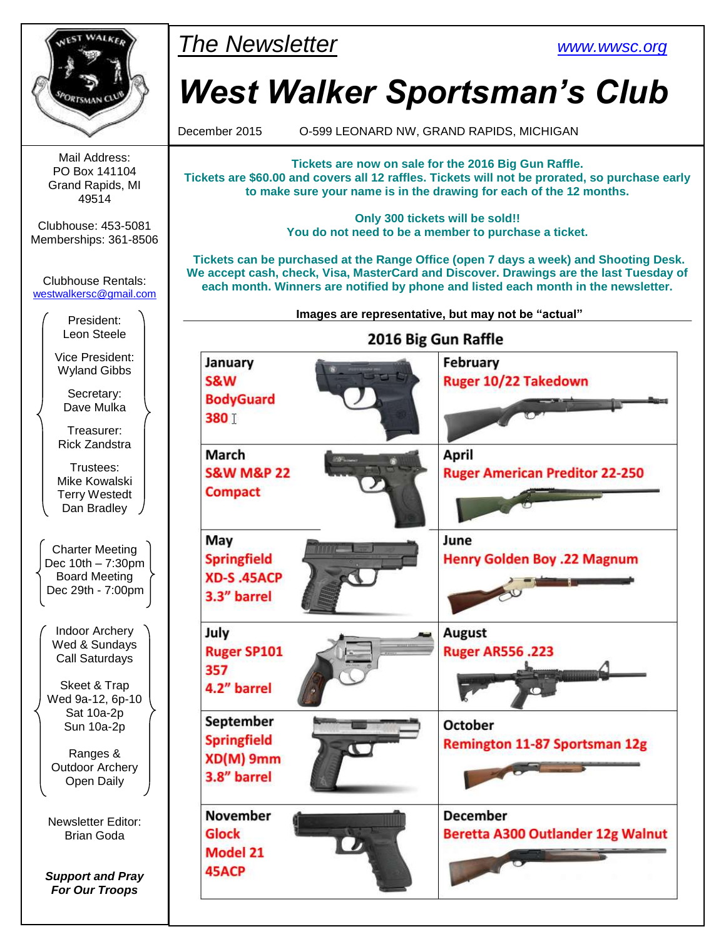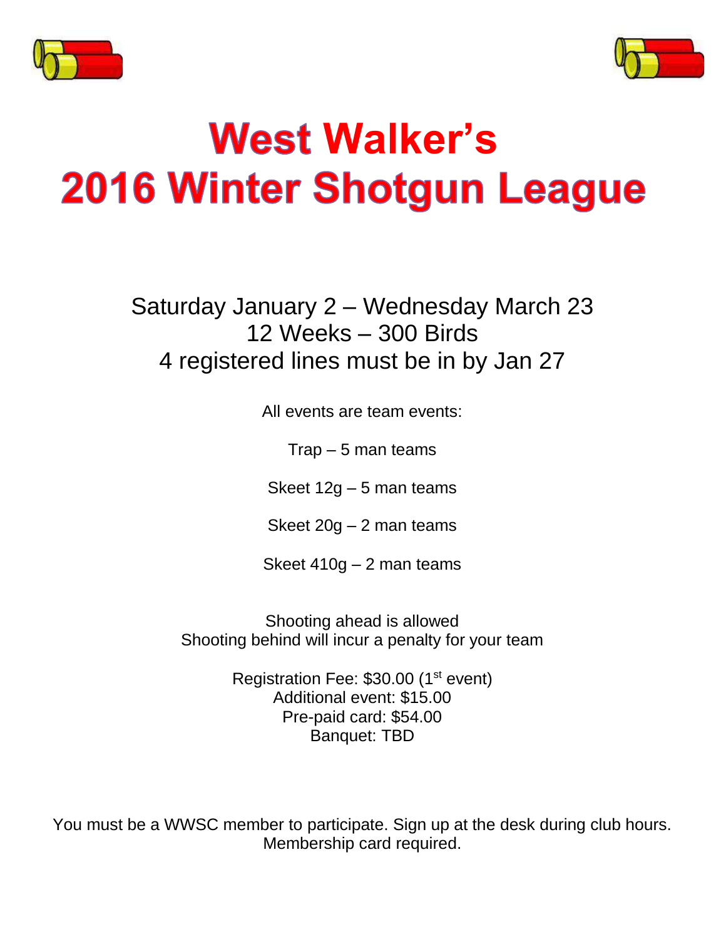



# **Walker's**2016 Winter Shotgun League

Saturday January 2 – Wednesday March 23 12 Weeks – 300 Birds 4 registered lines must be in by Jan 27

All events are team events:

 $Trap - 5$  man teams

Skeet 12g – 5 man teams

Skeet 20g – 2 man teams

Skeet 410g – 2 man teams

Shooting ahead is allowed Shooting behind will incur a penalty for your team

> Registration Fee: \$30.00 (1<sup>st</sup> event) Additional event: \$15.00 Pre-paid card: \$54.00 Banquet: TBD

You must be a WWSC member to participate. Sign up at the desk during club hours. Membership card required.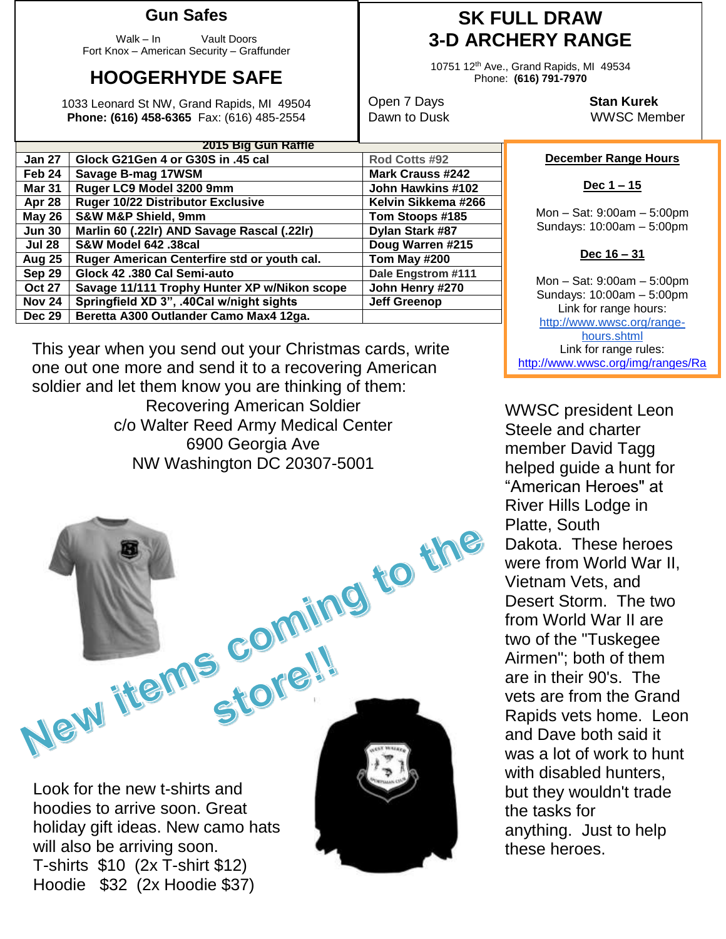### **Gun Safes**

Walk – In Vault Doors Fort Knox – American Security – Graffunder

## **HOOGERHYDE SAFE**

1033 Leonard St NW, Grand Rapids, MI 49504 **Phone: (616) 458-6365** Fax: (616) 485-2554

## **SK FULL DRAW 3-D ARCHERY RANGE**

10751 12th Ave., Grand Rapids, MI 49534 Phone: **(616) 791-7970**

Open 7 Days **Stan Kurek** Dawn to Dusk WWSC Member

#### **December Range Hours**

**Dec 1 – 15**

Mon – Sat: 9:00am – 5:00pm Sundays: 10:00am – 5:00pm

#### **Dec 16 – 31**

Mon – Sat: 9:00am – 5:00pm Sundays: 10:00am – 5:00pm Link for range hours: [http://www.wwsc.org/range](http://www.wwsc.org/range-hours.shtml)[hours.shtml](http://www.wwsc.org/range-hours.shtml) Link for range rules: http://www.wwsc.org/img/ranges/Ra

ngeRules.pdf

WWSC president Leon Steele and charter member David Tagg helped guide a hunt for "American Heroes" at River Hills Lodge in Platte, South Dakota. These heroes were from World War II, Vietnam Vets, and Desert Storm. The two from World War II are two of the "Tuskegee Airmen"; both of them are in their 90's. The vets are from the Grand Rapids vets home. Leon and Dave both said it was a lot of work to hunt with disabled hunters, but they wouldn't trade the tasks for anything. Just to help these heroes.

| <b>Jun 30</b> | Marlin 60 (.22lr) AND Savage Rascal (.22lr)  | Dylan Stark #87     |  |  |
|---------------|----------------------------------------------|---------------------|--|--|
| <b>Jul 28</b> | <b>S&amp;W Model 642 .38cal</b>              | Doug Warren #215    |  |  |
| <b>Aug 25</b> | Ruger American Centerfire std or youth cal.  | Tom May #200        |  |  |
| Sep 29        | Glock 42 .380 Cal Semi-auto                  | Dale Engstrom #111  |  |  |
| <b>Oct 27</b> | Savage 11/111 Trophy Hunter XP w/Nikon scope | John Henry #270     |  |  |
| <b>Nov 24</b> | Springfield XD 3", .40Cal w/night sights     | <b>Jeff Greenop</b> |  |  |
| <b>Dec 29</b> | Beretta A300 Outlander Camo Max4 12ga.       |                     |  |  |
|               |                                              |                     |  |  |
|               |                                              |                     |  |  |

**2015 Big Gun Raffle**

**Jan 27 Glock G21Gen 4 or G30S in .45 cal Rod Cotts #92 Feb 24 Savage B-mag 17WSM Mark Crauss #242 Mar 31 Ruger LC9 Model 3200 9mm John Hawkins #102 Apr 28 Ruger 10/22 Distributor Exclusive Kelvin Sikkema #266 May 26 S&W M&P Shield, 9mm Tom Stoops #185**

This year when you send out your Christmas cards, write one out one more and send it to a recovering American soldier and let them know you are thinking of them:

Recovering American Soldier c/o Walter Reed Army Medical Center 6900 Georgia Ave NW Washington DC 20307-5001

Look for the new t-shirts and hoodies to arrive soon. Great holiday gift ideas. New camo hats will also be arriving soon. T-shirts \$10 (2x T-shirt \$12) Hoodie \$32 (2x Hoodie \$37)